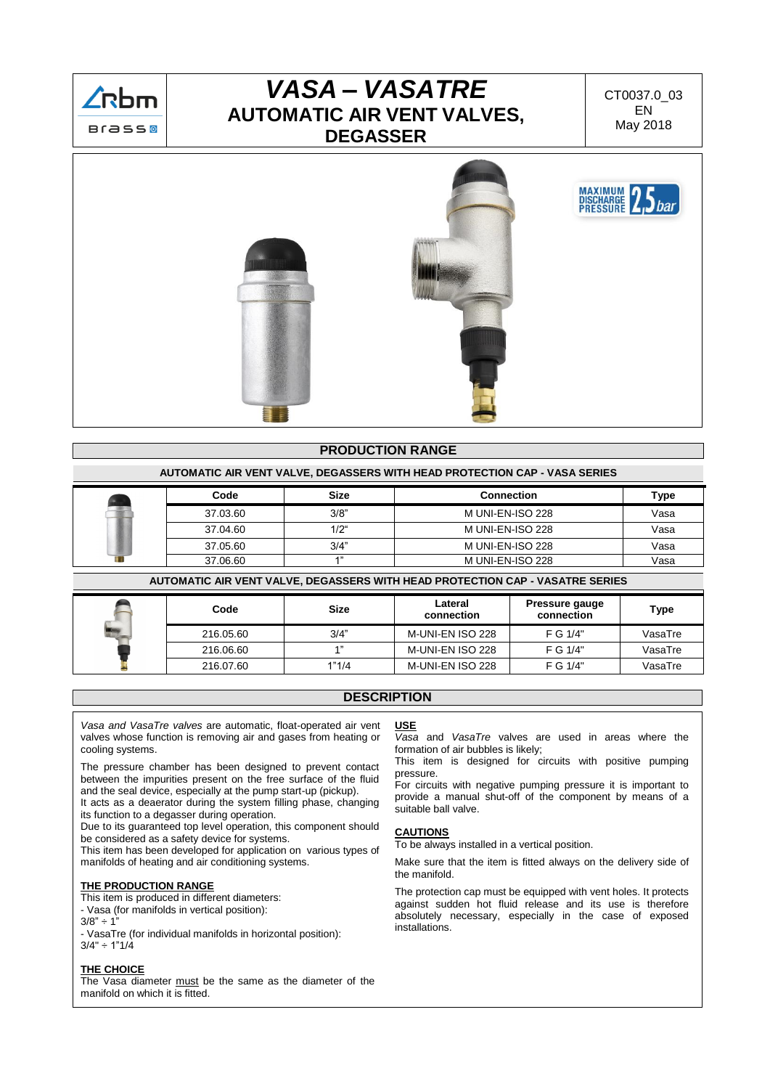

# *VASA – VASATRE* **AUTOMATIC AIR VENT VALVES, DEGASSER**

CT0037.0\_03 EN May 2018



## **PRODUCTION RANGE**

#### **AUTOMATIC AIR VENT VALVE, DEGASSERS WITH HEAD PROTECTION CAP - VASA SERIES**

| Code     | <b>Size</b>   | <b>Connection</b>       | Type |
|----------|---------------|-------------------------|------|
| 37.03.60 | 3/8"          | M UNI-EN-ISO 228        | Vasa |
| 37.04.60 | $1/2^{\circ}$ | <b>M UNI-EN-ISO 228</b> | Vasa |
| 37.05.60 | 3/4"          | M UNI-EN-ISO 228        | Vasa |
| 37.06.60 |               | M UNI-EN-ISO 228        | Vasa |

**AUTOMATIC AIR VENT VALVE, DEGASSERS WITH HEAD PROTECTION CAP - VASATRE SERIES**

| Code      | <b>Size</b> | Lateral<br>connection | Pressure gauge<br>connection | Type    |
|-----------|-------------|-----------------------|------------------------------|---------|
| 216.05.60 | 3/4"        | M-UNI-EN ISO 228      | F G 1/4"                     | VasaTre |
| 216.06.60 | A 33        | M-UNI-EN ISO 228      | F G 1/4"                     | VasaTre |
| 216.07.60 | 1"1/4       | M-UNI-EN ISO 228      | F G 1/4"                     | VasaTre |

### **DESCRIPTION**

*Vasa and VasaTre valves* are automatic, float-operated air vent valves whose function is removing air and gases from heating or cooling systems.

The pressure chamber has been designed to prevent contact between the impurities present on the free surface of the fluid and the seal device, especially at the pump start-up (pickup).

It acts as a deaerator during the system filling phase, changing its function to a degasser during operation.

Due to its guaranteed top level operation, this component should be considered as a safety device for systems.

This item has been developed for application on various types of manifolds of heating and air conditioning systems.

#### **THE PRODUCTION RANGE**

This item is produced in different diameters:

- Vasa (for manifolds in vertical position):
- $3/8" \div 1$

- VasaTre (for individual manifolds in horizontal position):  $3/4" \div 1"1/4$ 

#### **THE CHOICE**

The Vasa diameter must be the same as the diameter of the manifold on which it is fitted.

# **USE**

*Vasa* and *VasaTre* valves are used in areas where the formation of air bubbles is likely;

This item is designed for circuits with positive pumping pressure.

For circuits with negative pumping pressure it is important to provide a manual shut-off of the component by means of a suitable ball valve.

#### **CAUTIONS**

To be always installed in a vertical position.

Make sure that the item is fitted always on the delivery side of the manifold.

The protection cap must be equipped with vent holes. It protects against sudden hot fluid release and its use is therefore absolutely necessary, especially in the case of exposed installations.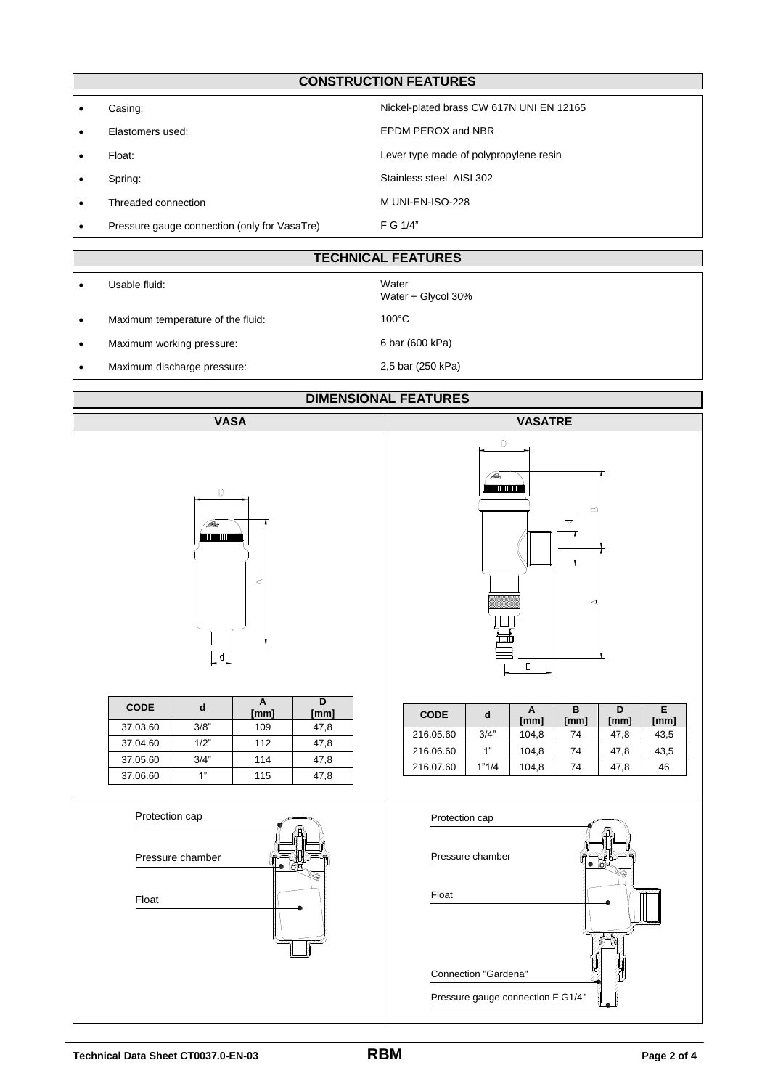# **CONSTRUCTION FEATURES**

| Casing:                                      | Nickel-plated brass CW 617N UNI EN 12165 |
|----------------------------------------------|------------------------------------------|
| Elastomers used:                             | EPDM PEROX and NBR                       |
| Float:                                       | Lever type made of polypropylene resin   |
| Spring:                                      | Stainless steel AISI 302                 |
| Threaded connection                          | M UNI-EN-ISO-228                         |
| Pressure gauge connection (only for VasaTre) | F G 1/4"                                 |

## **TECHNICAL FEATURES**

|           | Usable fluid:                     | Water<br>Water + Glycol 30% |
|-----------|-----------------------------------|-----------------------------|
| $\bullet$ | Maximum temperature of the fluid: | $100^{\circ}$ C             |
| $\bullet$ | Maximum working pressure:         | 6 bar (600 kPa)             |
| $\bullet$ | Maximum discharge pressure:       | 2,5 bar (250 kPa)           |

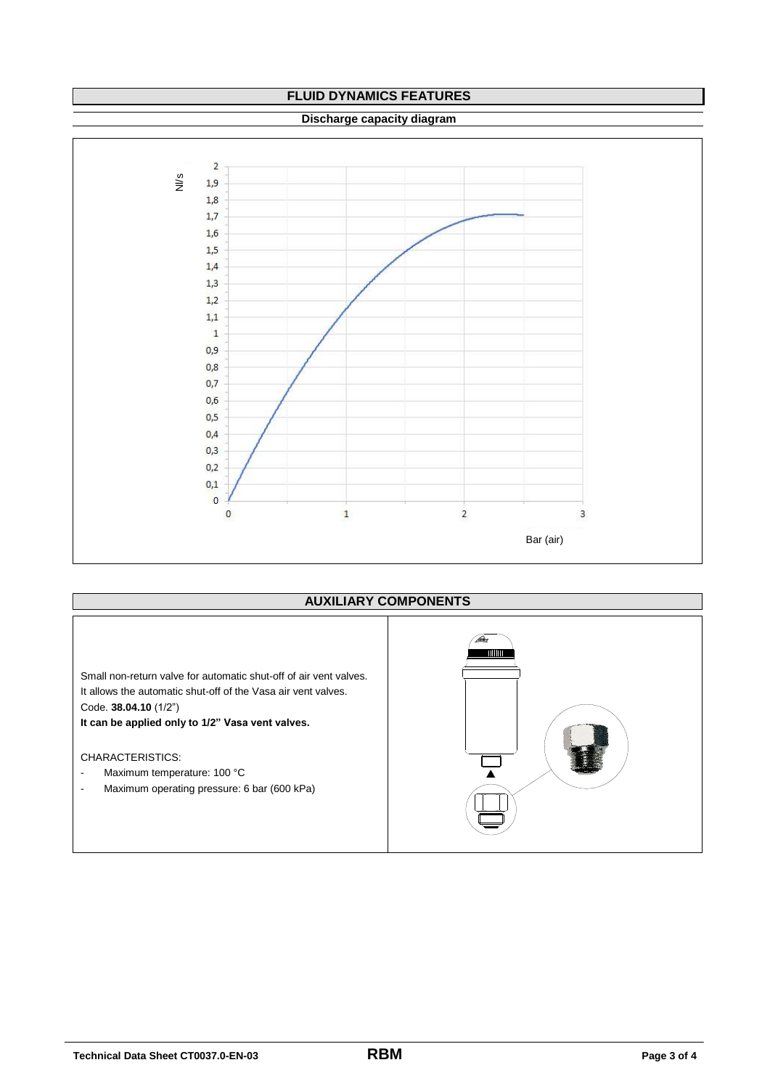